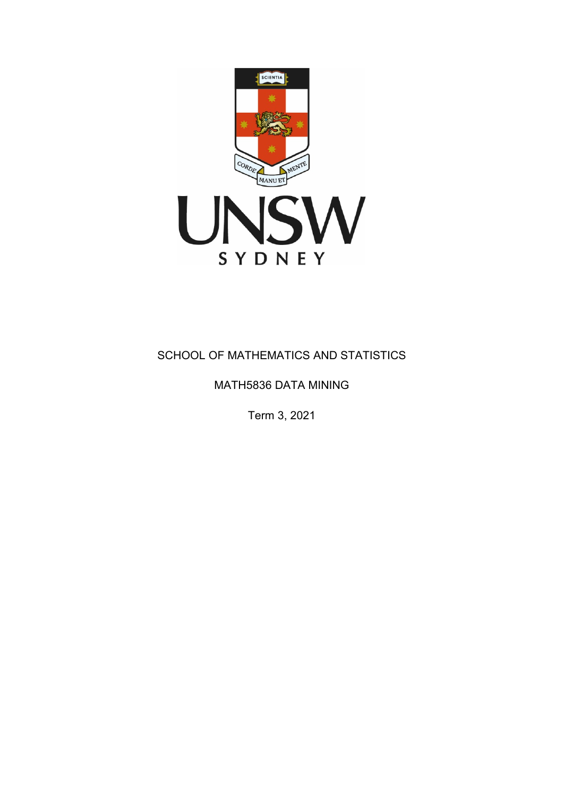

# SCHOOL OF MATHEMATICS AND STATISTICS

## MATH5836 DATA MINING

Term 3, 2021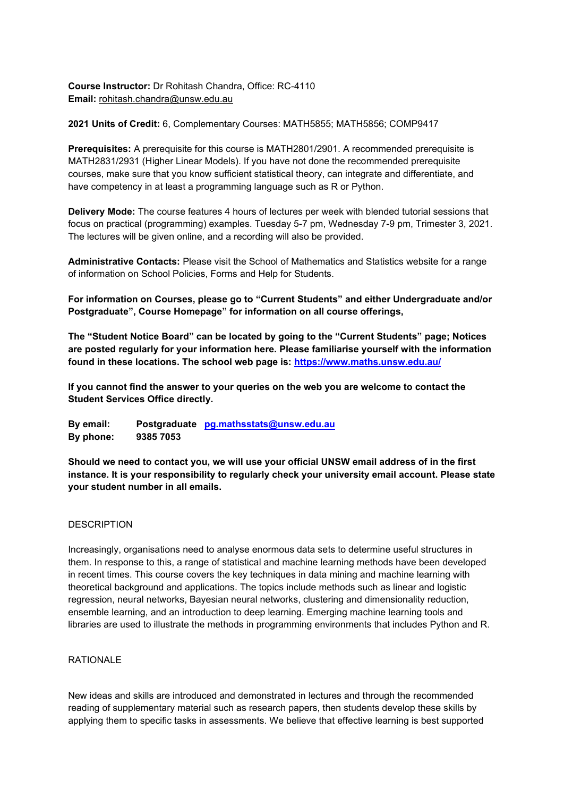**Course Instructor:** Dr Rohitash Chandra, Office: RC-4110 **Email:** [rohitash.chandra@unsw.edu.au](mailto:rohitash.chandra@unsw.edu.au)

**2021 Units of Credit:** 6, Complementary Courses: MATH5855; MATH5856; COMP9417

**Prerequisites:** A prerequisite for this course is MATH2801/2901. A recommended prerequisite is MATH2831/2931 (Higher Linear Models). If you have not done the recommended prerequisite courses, make sure that you know sufficient statistical theory, can integrate and differentiate, and have competency in at least a programming language such as R or Python.

**Delivery Mode:** The course features 4 hours of lectures per week with blended tutorial sessions that focus on practical (programming) examples. Tuesday 5-7 pm, Wednesday 7-9 pm, Trimester 3, 2021. The lectures will be given online, and a recording will also be provided.

**Administrative Contacts:** Please visit the School of Mathematics and Statistics website for a range of information on School Policies, Forms and Help for Students.

**For information on Courses, please go to "Current Students" and either Undergraduate and/or Postgraduate", Course Homepage" for information on all course offerings,**

**The "Student Notice Board" can be located by going to the "Current Students" page; Notices are posted regularly for your information here. Please familiarise yourself with the information found in these locations. The school web page is:<https://www.maths.unsw.edu.au/>**

**If you cannot find the answer to your queries on the web you are welcome to contact the Student Services Office directly.**

**By email: Postgraduate [pg.mathsstats@unsw.edu.au](mailto:pg.mathsstats@unsw.edu.au) By phone: 9385 7053**

**Should we need to contact you, we will use your official UNSW email address of in the first instance. It is your responsibility to regularly check your university email account. Please state your student number in all emails.**

### **DESCRIPTION**

Increasingly, organisations need to analyse enormous data sets to determine useful structures in them. In response to this, a range of statistical and machine learning methods have been developed in recent times. This course covers the key techniques in data mining and machine learning with theoretical background and applications. The topics include methods such as linear and logistic regression, neural networks, Bayesian neural networks, clustering and dimensionality reduction, ensemble learning, and an introduction to deep learning. Emerging machine learning tools and libraries are used to illustrate the methods in programming environments that includes Python and R.

#### RATIONALE

New ideas and skills are introduced and demonstrated in lectures and through the recommended reading of supplementary material such as research papers, then students develop these skills by applying them to specific tasks in assessments. We believe that effective learning is best supported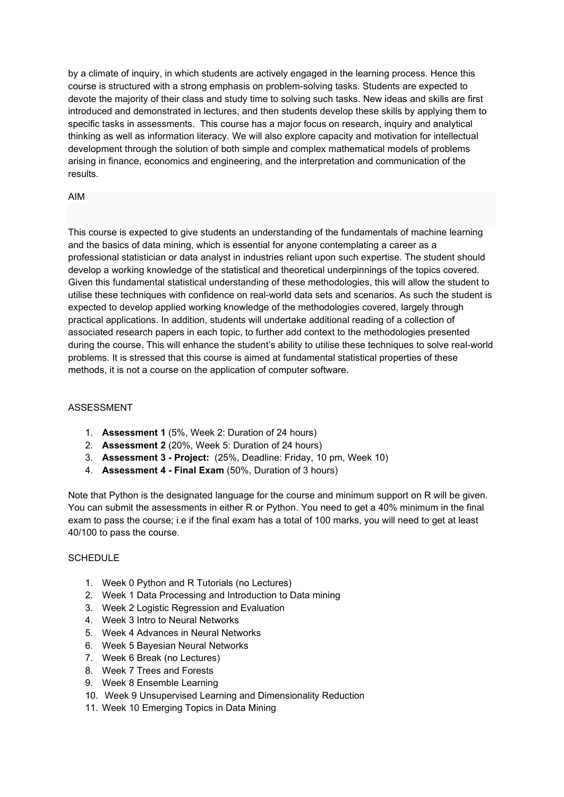by a climate of inquiry, in which students are actively engaged in the learning process. Hence this course is structured with a strong emphasis on problem-solving tasks. Students are expected to devote the majority of their class and study time to solving such tasks. New ideas and skills are first introduced and demonstrated in lectures, and then students develop these skills by applying them to specific tasks in assessments. This course has a major focus on research, inquiry and analytical thinking as well as information literacy. We will also explore capacity and motivation for intellectual development through the solution of both simple and complex mathematical models of problems arising in finance, economics and engineering, and the interpretation and communication of the results.

### AIM

This course is expected to give students an understanding of the fundamentals of machine learning and the basics of data mining, which is essential for anyone contemplating a career as a professional statistician or data analyst in industries reliant upon such expertise. The student should develop a working knowledge of the statistical and theoretical underpinnings of the topics covered. Given this fundamental statistical understanding of these methodologies, this will allow the student to utilise these techniques with confidence on real-world data sets and scenarios. As such the student is expected to develop applied working knowledge of the methodologies covered, largely through practical applications. In addition, students will undertake additional reading of a collection of associated research papers in each topic, to further add context to the methodologies presented during the course. This will enhance the student's ability to utilise these techniques to solve real-world problems. It is stressed that this course is aimed at fundamental statistical properties of these methods, it is not a course on the application of computer software.

## ASSESSMENT

- 1. **Assessment 1** (5%, Week 2: Duration of 24 hours)
- 2. **Assessment 2** (20%, Week 5: Duration of 24 hours)
- 3. **Assessment 3 - Project:** (25%, Deadline: Friday, 10 pm, Week 10)
- 4. **Assessment 4 - Final Exam** (50%, Duration of 3 hours)

Note that Python is the designated language for the course and minimum support on R will be given. You can submit the assessments in either R or Python. You need to get a 40% minimum in the final exam to pass the course; i.e if the final exam has a total of 100 marks, you will need to get at least 40/100 to pass the course.

### **SCHEDULE**

- 1. Week 0 Python and R Tutorials (no Lectures)
- 2. Week 1 Data Processing and Introduction to Data mining
- 3. Week 2 Logistic Regression and Evaluation
- 4. Week 3 Intro to Neural Networks
- 5. Week 4 Advances in Neural Networks
- 6. Week 5 Bayesian Neural Networks
- 7. Week 6 Break (no Lectures)
- 8. Week 7 Trees and Forests
- 9. Week 8 Ensemble Learning
- 10. Week 9 Unsupervised Learning and Dimensionality Reduction
- 11. Week 10 Emerging Topics in Data Mining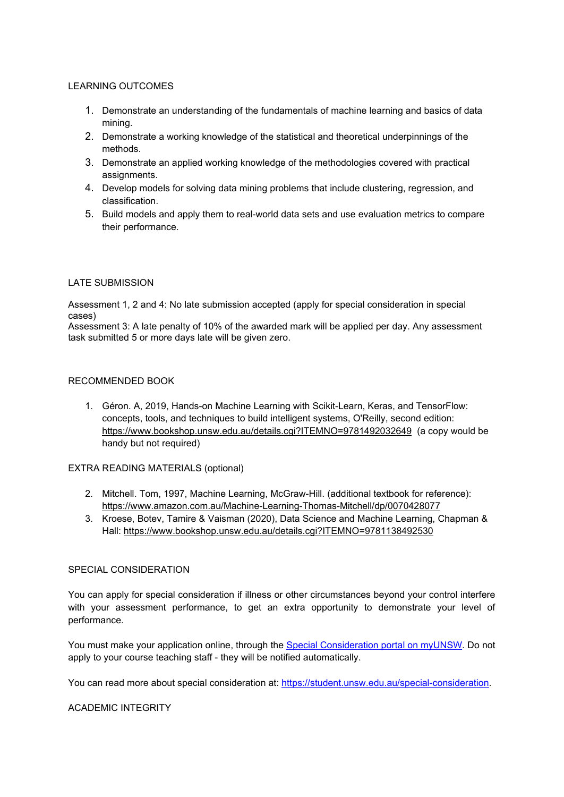### LEARNING OUTCOMES

- 1. Demonstrate an understanding of the fundamentals of machine learning and basics of data mining.
- 2. Demonstrate a working knowledge of the statistical and theoretical underpinnings of the methods.
- 3. Demonstrate an applied working knowledge of the methodologies covered with practical assignments.
- 4. Develop models for solving data mining problems that include clustering, regression, and classification.
- 5. Build models and apply them to real-world data sets and use evaluation metrics to compare their performance.

### LATE SUBMISSION

Assessment 1, 2 and 4: No late submission accepted (apply for special consideration in special cases)

Assessment 3: A late penalty of 10% of the awarded mark will be applied per day. Any assessment task submitted 5 or more days late will be given zero.

### RECOMMENDED BOOK

1. Géron. A, 2019, Hands-on Machine Learning with Scikit-Learn, Keras, and TensorFlow: concepts, tools, and techniques to build intelligent systems, O'Reilly, second edition: <https://www.bookshop.unsw.edu.au/details.cgi?ITEMNO=9781492032649>(a copy would be handy but not required)

### EXTRA READING MATERIALS (optional)

- 2. Mitchell. Tom, 1997, Machine Learning, McGraw-Hill. (additional textbook for reference): <https://www.amazon.com.au/Machine-Learning-Thomas-Mitchell/dp/0070428077>
- 3. Kroese, Botev, Tamire & Vaisman (2020), Data Science and Machine Learning, Chapman & Hall: <https://www.bookshop.unsw.edu.au/details.cgi?ITEMNO=9781138492530>

### SPECIAL CONSIDERATION

You can apply for special consideration if illness or other circumstances beyond your control interfere with your assessment performance, to get an extra opportunity to demonstrate your level of performance.

You must make your application online, through the [Special Consideration portal on myUNSW.](https://iaro.online.unsw.edu.au/special_consideration/home.login) Do not apply to your course teaching staff - they will be notified automatically.

You can read more about special consideration at: [https://student.unsw.edu.au/special-consideration.](https://student.unsw.edu.au/special-consideration)

#### ACADEMIC INTEGRITY